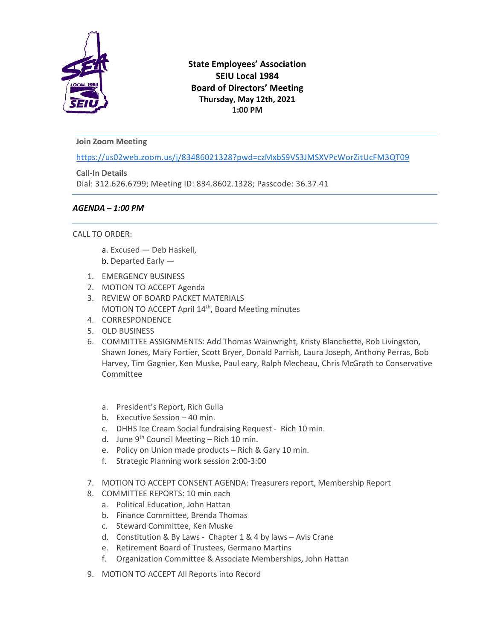

# **State Employees' Association SEIU Local 1984 Board of Directors' Meeting Thursday, May 12th, 2021 1:00 PM**

## **Join Zoom Meeting**

[https://us02web.zoom.us/j/83486021328?pwd=czMxbS9VS3JMSXVPcWorZitUcFM3QT09](https://www.google.com/url?q=https://us02web.zoom.us/j/83486021328?pwd%3DczMxbS9VS3JMSXVPcWorZitUcFM3QT09&sa=D&source=calendar&ust=1625678194422000&usg=AOvVaw0nRqMARe94VRb2c7JL9DTg)

**Call-In Details** Dial: 312.626.6799; Meeting ID: 834.8602.1328; Passcode: 36.37.41

### *AGENDA – 1:00 PM*

### CALL TO ORDER:

- a. Excused Deb Haskell,
- b. Departed Early —
- 1. EMERGENCY BUSINESS
- 2. MOTION TO ACCEPT Agenda
- 3. REVIEW OF BOARD PACKET MATERIALS MOTION TO ACCEPT April 14<sup>th</sup>, Board Meeting minutes
- 4. CORRESPONDENCE
- 5. OLD BUSINESS
- 6. COMMITTEE ASSIGNMENTS: Add Thomas Wainwright, Kristy Blanchette, Rob Livingston, Shawn Jones, Mary Fortier, Scott Bryer, Donald Parrish, Laura Joseph, Anthony Perras, Bob Harvey, Tim Gagnier, Ken Muske, Paul eary, Ralph Mecheau, Chris McGrath to Conservative Committee
	- a. President's Report, Rich Gulla
	- b. Executive Session 40 min.
	- c. DHHS Ice Cream Social fundraising Request Rich 10 min.
	- d. June 9<sup>th</sup> Council Meeting Rich 10 min.
	- e. Policy on Union made products Rich & Gary 10 min.
	- f. Strategic Planning work session 2:00-3:00
- 7. MOTION TO ACCEPT CONSENT AGENDA: Treasurers report, Membership Report
- 8. COMMITTEE REPORTS: 10 min each
	- a. Political Education, John Hattan
	- b. Finance Committee, Brenda Thomas
	- c. Steward Committee, Ken Muske
	- d. Constitution & By Laws Chapter 1 & 4 by laws Avis Crane
	- e. Retirement Board of Trustees, Germano Martins
	- f. Organization Committee & Associate Memberships, John Hattan
- 9. MOTION TO ACCEPT All Reports into Record